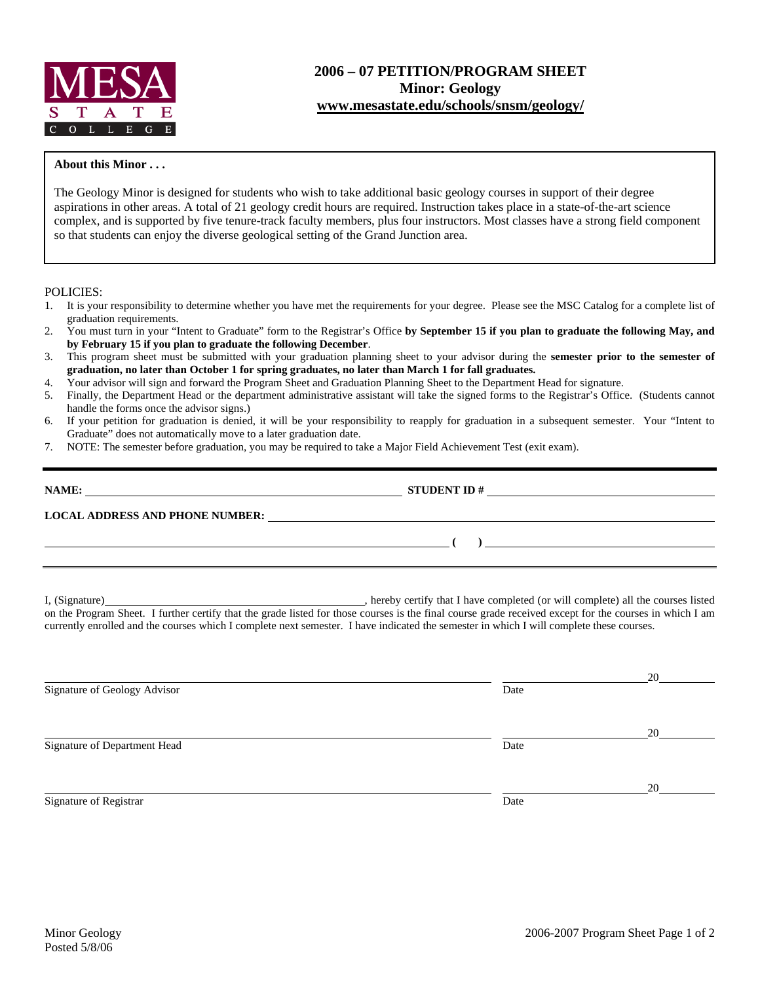

## **2006 – 07 PETITION/PROGRAM SHEET Minor: Geology www.mesastate.edu/schools/snsm/geology/**

## **About this Minor . . .**

The Geology Minor is designed for students who wish to take additional basic geology courses in support of their degree aspirations in other areas. A total of 21 geology credit hours are required. Instruction takes place in a state-of-the-art science complex, and is supported by five tenure-track faculty members, plus four instructors. Most classes have a strong field component so that students can enjoy the diverse geological setting of the Grand Junction area.

## POLICIES:

- 1. It is your responsibility to determine whether you have met the requirements for your degree. Please see the MSC Catalog for a complete list of graduation requirements.
- 2. You must turn in your "Intent to Graduate" form to the Registrar's Office **by September 15 if you plan to graduate the following May, and by February 15 if you plan to graduate the following December**.
- 3. This program sheet must be submitted with your graduation planning sheet to your advisor during the **semester prior to the semester of graduation, no later than October 1 for spring graduates, no later than March 1 for fall graduates.**
- 4. Your advisor will sign and forward the Program Sheet and Graduation Planning Sheet to the Department Head for signature.
- 5. Finally, the Department Head or the department administrative assistant will take the signed forms to the Registrar's Office. (Students cannot handle the forms once the advisor signs.)
- 6. If your petition for graduation is denied, it will be your responsibility to reapply for graduation in a subsequent semester. Your "Intent to Graduate" does not automatically move to a later graduation date.
- 7. NOTE: The semester before graduation, you may be required to take a Major Field Achievement Test (exit exam).

| NAME:                                  | <b>STUDENT ID#</b> |
|----------------------------------------|--------------------|
|                                        |                    |
| <b>LOCAL ADDRESS AND PHONE NUMBER:</b> |                    |

I, (Signature) **Manual Completed** (or will complete) all the courses listed on the Program Sheet. I further certify that the grade listed for those courses is the final course grade received except for the courses in which I am currently enrolled and the courses which I complete next semester. I have indicated the semester in which I will complete these courses.

|                              |      | 20 |
|------------------------------|------|----|
| Signature of Geology Advisor | Date |    |
|                              |      |    |
|                              |      | 20 |
| Signature of Department Head | Date |    |
|                              |      |    |
|                              |      | 20 |
| Signature of Registrar       | Date |    |
|                              |      |    |